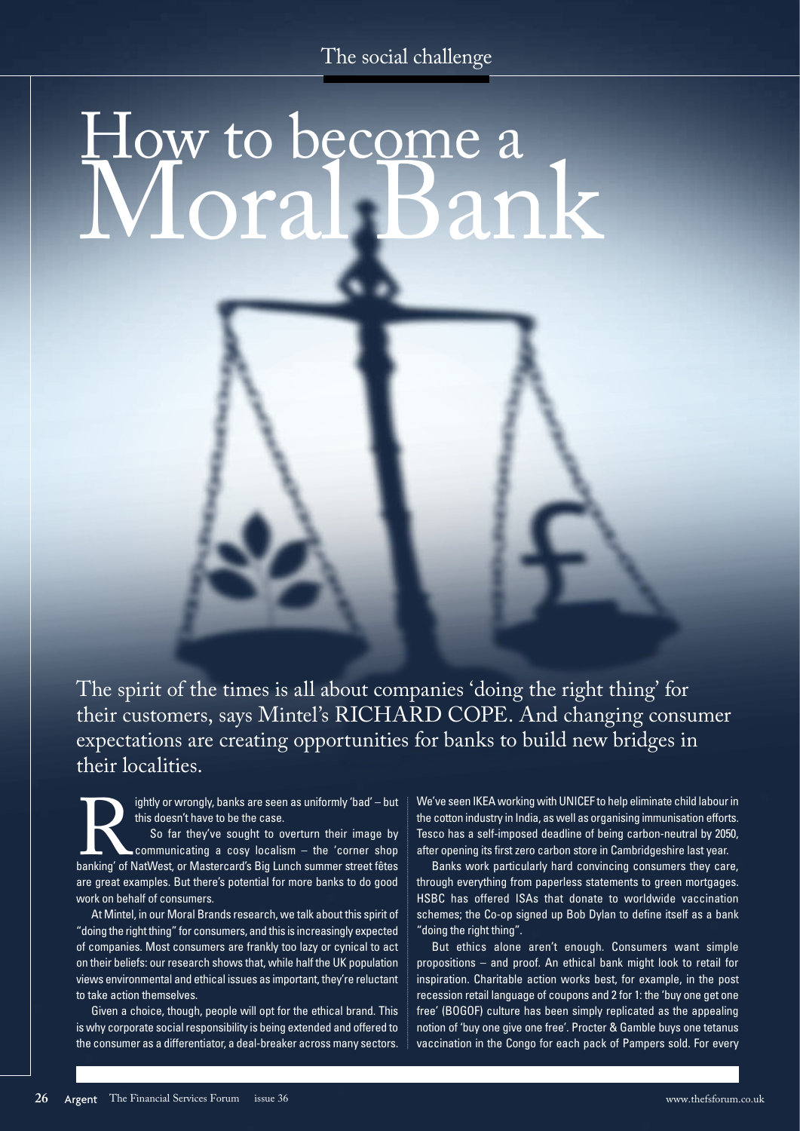# How to become a Moral Bank



The spirit of the times is all about companies 'doing the right thing' for their customers, says Mintel's RICHARD COPE. And changing consumer expectations are creating opportunities for banks to build new bridges in their localities.

this doesn't have to be the case.

ightly or wrongly, banks are seen as uniformly 'bad' – but<br>this doesn't have to be the case.<br>So far they've sought to overturn their image by<br>communicating a cosy localism – the 'corner shop<br>banking' of NatWest, or Masterc So far they've sought to overturn their image by communicating a cosy localism – the 'corner shop banking' of NatWest, or Mastercard's Big Lunch summer street fêtes are great examples. But there's potential for more banks to do good work on behalf of consumers.

At Mintel, in our Moral Brands research, we talk about this spirit of "doing the right thing" for consumers, and this is increasingly expected of companies. Most consumers are frankly too lazy or cynical to act on their beliefs: our research shows that, while half the UK population views environmental and ethical issues as important, they're reluctant to take action themselves.

Given a choice, though, people will opt for the ethical brand. This is why corporate social responsibility is being extended and offered to the consumer as a differentiator, a deal-breaker across many sectors. We've seen IKEA working with UNICEF to help eliminate child labour in the cotton industry in India, as well as organising immunisation efforts. Tesco has a self-imposed deadline of being carbon-neutral by 2050, after opening its first zero carbon store in Cambridgeshire last year.

Banks work particularly hard convincing consumers they care, through everything from paperless statements to green mortgages. HSBC has offered ISAs that donate to worldwide vaccination schemes; the Co-op signed up Bob Dylan to define itself as a bank "doing the right thing".

But ethics alone aren't enough. Consumers want simple propositions – and proof. An ethical bank might look to retail for inspiration. Charitable action works best, for example, in the post recession retail language of coupons and 2 for 1: the 'buy one get one free' (BOGOF) culture has been simply replicated as the appealing notion of 'buy one give one free'. Procter & Gamble buys one tetanus vaccination in the Congo for each pack of Pampers sold. For every